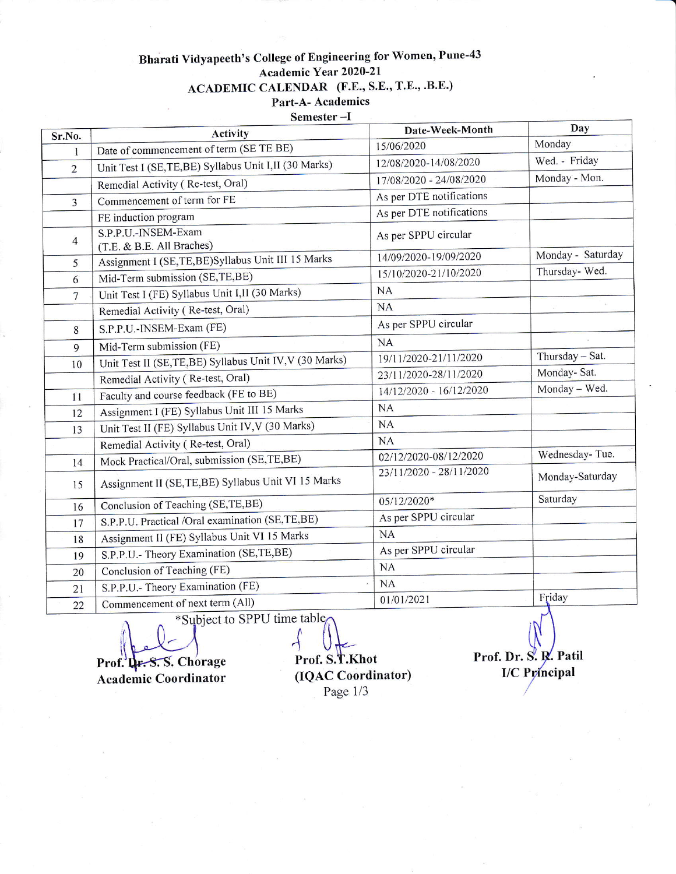## Bharati Vidyapeeth's College of Engineering for Women, Pune-43 Academic Year 2020-21 ACADEMIC CALENDAR (F.E., S.E., T.E., .B.E.) . Part-A- Academics

Semester -I

| Sr.No.         | Activity                                                | Date-Week-Month          | Day               |
|----------------|---------------------------------------------------------|--------------------------|-------------------|
| 1              | Date of commencement of term (SE TE BE)                 | 15/06/2020               | Monday            |
| $\overline{2}$ | Unit Test I (SE, TE, BE) Syllabus Unit I, II (30 Marks) | 12/08/2020-14/08/2020    | Wed. - Friday     |
|                | Remedial Activity (Re-test, Oral)                       | 17/08/2020 - 24/08/2020  | Monday - Mon.     |
| $\overline{3}$ | Commencement of term for FE                             | As per DTE notifications |                   |
|                | FE induction program                                    | As per DTE notifications |                   |
| $\overline{4}$ | S.P.P.U.-INSEM-Exam<br>(T.E. & B.E. All Braches)        | As per SPPU circular     |                   |
| 5              | Assignment I (SE,TE,BE)Syllabus Unit III 15 Marks       | 14/09/2020-19/09/2020    | Monday - Saturday |
| 6              | Mid-Term submission (SE,TE,BE)                          | 15/10/2020-21/10/2020    | Thursday- Wed.    |
| $\overline{7}$ | Unit Test I (FE) Syllabus Unit I, II (30 Marks)         | NA                       |                   |
|                | Remedial Activity (Re-test, Oral)                       | <b>NA</b>                |                   |
| 8              | S.P.P.U.-INSEM-Exam (FE)                                | As per SPPU circular     |                   |
| 9              | Mid-Term submission (FE)                                | <b>NA</b>                |                   |
| 10             | Unit Test II (SE,TE,BE) Syllabus Unit IV, V (30 Marks)  | 19/11/2020-21/11/2020    | Thursday - Sat.   |
|                | Remedial Activity (Re-test, Oral)                       | 23/11/2020-28/11/2020    | Monday- Sat.      |
| 11             | Faculty and course feedback (FE to BE)                  | 14/12/2020 - 16/12/2020  | Monday - Wed.     |
| 12             | Assignment I (FE) Syllabus Unit III 15 Marks            | NA                       |                   |
| 13             | Unit Test II (FE) Syllabus Unit IV, V (30 Marks)        | NA                       |                   |
|                | Remedial Activity (Re-test, Oral)                       | NA                       |                   |
| 14             | Mock Practical/Oral, submission (SE,TE,BE)              | 02/12/2020-08/12/2020    | Wednesday-Tue.    |
| 15             | Assignment II (SE, TE, BE) Syllabus Unit VI 15 Marks    | 23/11/2020 - 28/11/2020  | Monday-Saturday   |
| 16             | Conclusion of Teaching (SE,TE,BE)                       | 05/12/2020*              | Saturday          |
| 17             | S.P.P.U. Practical /Oral examination (SE,TE,BE)         | As per SPPU circular     |                   |
| 18             | Assignment II (FE) Syllabus Unit VI 15 Marks            | <b>NA</b>                |                   |
| 19             | S.P.P.U.- Theory Examination (SE,TE,BE)                 | As per SPPU circular     |                   |
| 20             | Conclusion of Teaching (FE)                             | <b>NA</b>                |                   |
| 21             | S.P.P.U.- Theory Examination (FE)                       | <b>NA</b>                |                   |
| 22             | Commencement of next term (All)                         | 01/01/2021               | Friday            |

For the Subject to SPPU time table

Prof. L. S. Chorage Prof. S. T. Khot<br>Academic Coordinator (IQAC Coordinator) Academic Coordinator

Page 1/3

Prof. Dr. S. R. Patil I/C Principal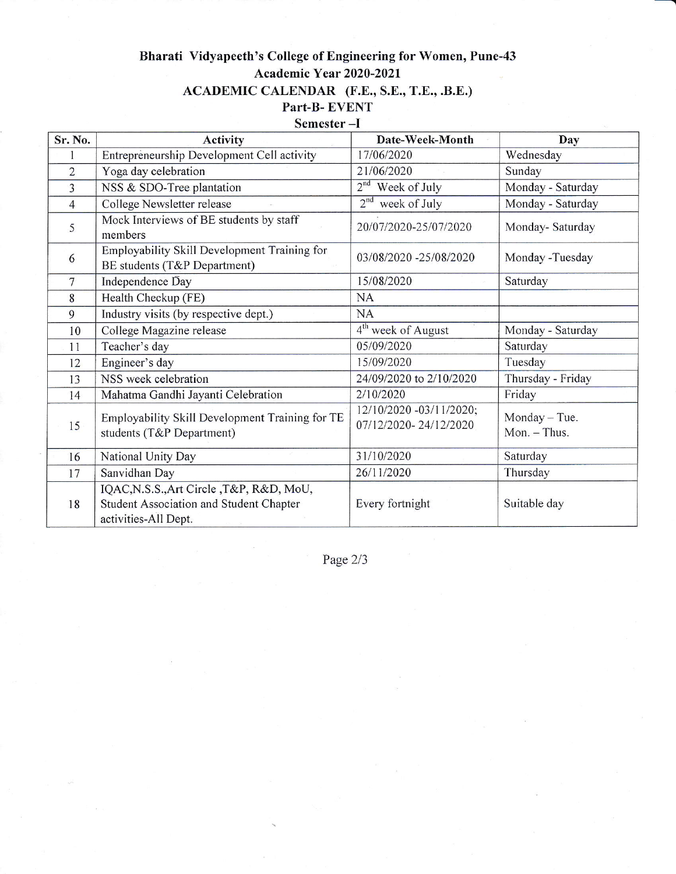## Bharati Vidyapeeth's College of Engineering for Women, Pune-43 Academic Year 2020 -2021 ACADEMIC CALENDAR (F.E., S.E., T.E., .B.E.) Part-B- EVENT

## Semester -I

| Sr. No.        | <b>Activity</b>                                                                                             | Date-Week-Month                                  | Day                           |
|----------------|-------------------------------------------------------------------------------------------------------------|--------------------------------------------------|-------------------------------|
| 1              | Entrepreneurship Development Cell activity                                                                  | 17/06/2020                                       | Wednesday                     |
| $\overline{2}$ | Yoga day celebration                                                                                        | 21/06/2020                                       | Sunday                        |
| $\overline{3}$ | NSS & SDO-Tree plantation                                                                                   | 2 <sup>nd</sup><br>Week of July                  | Monday - Saturday             |
| $\overline{4}$ | College Newsletter release                                                                                  | 2 <sup>nd</sup><br>week of July                  | Monday - Saturday             |
| 5              | Mock Interviews of BE students by staff<br>members                                                          | 20/07/2020-25/07/2020                            | Monday-Saturday               |
| 6              | Employability Skill Development Training for<br>BE students (T&P Department)                                | 03/08/2020 -25/08/2020                           | Monday -Tuesday               |
| $\overline{7}$ | Independence Day                                                                                            | 15/08/2020                                       | Saturday                      |
| 8              | Health Checkup (FE)                                                                                         | <b>NA</b>                                        |                               |
| 9              | Industry visits (by respective dept.)                                                                       | <b>NA</b>                                        |                               |
| 10             | College Magazine release                                                                                    | 4 <sup>th</sup> week of August                   | Monday - Saturday             |
| 11             | Teacher's day                                                                                               | 05/09/2020                                       | Saturday                      |
| 12             | Engineer's day                                                                                              | 15/09/2020                                       | Tuesday                       |
| 13             | NSS week celebration                                                                                        | 24/09/2020 to 2/10/2020                          | Thursday - Friday             |
| 14             | Mahatma Gandhi Jayanti Celebration                                                                          | 2/10/2020                                        | Friday                        |
| 15             | Employability Skill Development Training for TE<br>students (T&P Department)                                | 12/10/2020 -03/11/2020;<br>07/12/2020-24/12/2020 | Monday - Tue.<br>Mon. - Thus. |
| 16             | National Unity Day                                                                                          | 31/10/2020                                       | Saturday                      |
| 17             | Sanvidhan Day                                                                                               | 26/11/2020                                       | Thursday                      |
| 18             | IQAC, N.S.S., Art Circle, T&P, R&D, MoU,<br>Student Association and Student Chapter<br>activities-All Dept. | Every fortnight                                  | Suitable day                  |

Page 2/3